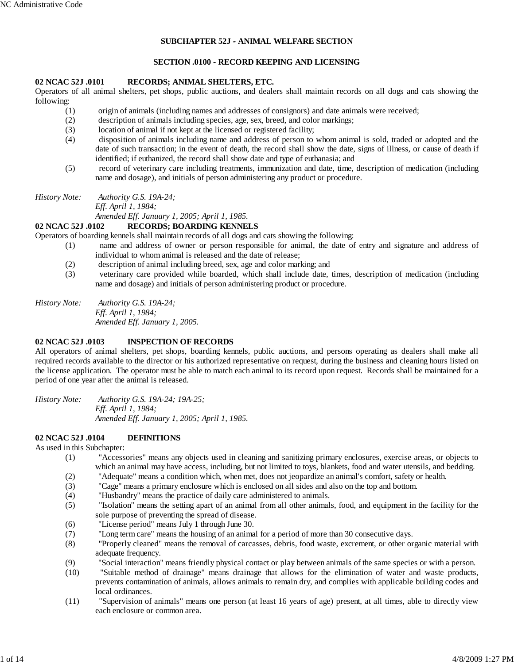## **SUBCHAPTER 52J - ANIMAL WELFARE SECTION**

#### **SECTION .0100 - RECORD KEEPING AND LICENSING**

#### **02 NCAC 52J .0101 RECORDS; ANIMAL SHELTERS, ETC.**

Operators of all animal shelters, pet shops, public auctions, and dealers shall maintain records on all dogs and cats showing the following:

- (1) origin of animals (including names and addresses of consignors) and date animals were received;
- (2) description of animals including species, age, sex, breed, and color markings;
- (3) location of animal if not kept at the licensed or registered facility;
- (4) disposition of animals including name and address of person to whom animal is sold, traded or adopted and the date of such transaction; in the event of death, the record shall show the date, signs of illness, or cause of death if identified; if euthanized, the record shall show date and type of euthanasia; and
- (5) record of veterinary care including treatments, immunization and date, time, description of medication (including name and dosage), and initials of person administering any product or procedure.

*History Note: Authority G.S. 19A-24;*

*Eff. April 1, 1984;*

*Amended Eff. January 1, 2005; April 1, 1985.*

#### **02 NCAC 52J .0102 RECORDS; BOARDING KENNELS**

Operators of boarding kennels shall maintain records of all dogs and cats showing the following:

- (1) name and address of owner or person responsible for animal, the date of entry and signature and address of individual to whom animal is released and the date of release;
- (2) description of animal including breed, sex, age and color marking; and
- (3) veterinary care provided while boarded, which shall include date, times, description of medication (including name and dosage) and initials of person administering product or procedure.

*History Note: Authority G.S. 19A-24; Eff. April 1, 1984; Amended Eff. January 1, 2005.*

### **02 NCAC 52J .0103 INSPECTION OF RECORDS**

All operators of animal shelters, pet shops, boarding kennels, public auctions, and persons operating as dealers shall make all required records available to the director or his authorized representative on request, during the business and cleaning hours listed on the license application. The operator must be able to match each animal to its record upon request. Records shall be maintained for a period of one year after the animal is released.

*History Note: Authority G.S. 19A-24; 19A-25; Eff. April 1, 1984; Amended Eff. January 1, 2005; April 1, 1985.*

## **02 NCAC 52J .0104 DEFINITIONS**

As used in this Subchapter:

- (1) "Accessories" means any objects used in cleaning and sanitizing primary enclosures, exercise areas, or objects to which an animal may have access, including, but not limited to toys, blankets, food and water utensils, and bedding.
- (2) "Adequate" means a condition which, when met, does not jeopardize an animal's comfort, safety or health. (3) "Cage" means a primary enclosure which is enclosed on all sides and also on the top and bottom.
- (4) "Husbandry" means the practice of daily care administered to animals.
- (5) "Isolation" means the setting apart of an animal from all other animals, food, and equipment in the facility for the sole purpose of preventing the spread of disease.
- (6) "License period" means July 1 through June 30.
- (7) "Long term care" means the housing of an animal for a period of more than 30 consecutive days.
- (8) "Properly cleaned" means the removal of carcasses, debris, food waste, excrement, or other organic material with adequate frequency.
- (9) "Social interaction" means friendly physical contact or play between animals of the same species or with a person.
- (10) "Suitable method of drainage" means drainage that allows for the elimination of water and waste products, prevents contamination of animals, allows animals to remain dry, and complies with applicable building codes and local ordinances.
- (11) "Supervision of animals" means one person (at least 16 years of age) present, at all times, able to directly view each enclosure or common area.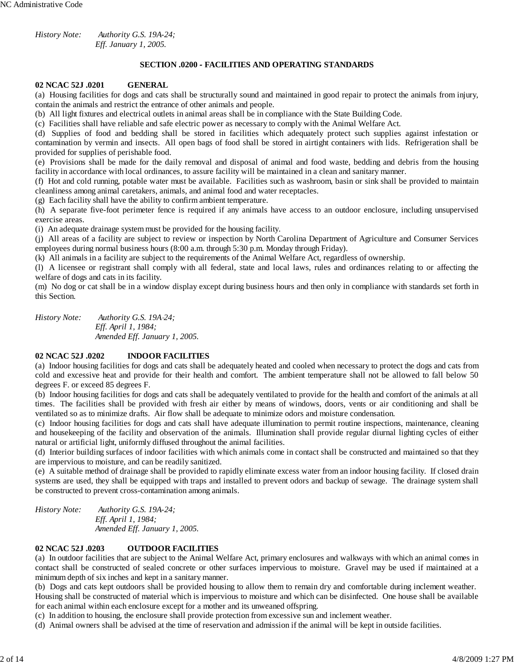*History Note: Authority G.S. 19A-24; Eff. January 1, 2005.*

### **SECTION .0200 - FACILITIES AND OPERATING STANDARDS**

#### **02 NCAC 52J .0201 GENERAL**

(a) Housing facilities for dogs and cats shall be structurally sound and maintained in good repair to protect the animals from injury, contain the animals and restrict the entrance of other animals and people.

(b) All light fixtures and electrical outlets in animal areas shall be in compliance with the State Building Code.

(c) Facilities shall have reliable and safe electric power as necessary to comply with the Animal Welfare Act.

(d) Supplies of food and bedding shall be stored in facilities which adequately protect such supplies against infestation or contamination by vermin and insects. All open bags of food shall be stored in airtight containers with lids. Refrigeration shall be provided for supplies of perishable food.

(e) Provisions shall be made for the daily removal and disposal of animal and food waste, bedding and debris from the housing facility in accordance with local ordinances, to assure facility will be maintained in a clean and sanitary manner.

(f) Hot and cold running, potable water must be available. Facilities such as washroom, basin or sink shall be provided to maintain cleanliness among animal caretakers, animals, and animal food and water receptacles.

(g) Each facility shall have the ability to confirm ambient temperature.

(h) A separate five-foot perimeter fence is required if any animals have access to an outdoor enclosure, including unsupervised exercise areas.

(i) An adequate drainage system must be provided for the housing facility.

(j) All areas of a facility are subject to review or inspection by North Carolina Department of Agriculture and Consumer Services employees during normal business hours (8:00 a.m. through 5:30 p.m. Monday through Friday).

(k) All animals in a facility are subject to the requirements of the Animal Welfare Act, regardless of ownership.

(l) A licensee or registrant shall comply with all federal, state and local laws, rules and ordinances relating to or affecting the welfare of dogs and cats in its facility.

(m) No dog or cat shall be in a window display except during business hours and then only in compliance with standards set forth in this Section.

*History Note: Authority G.S. 19A*-*24; Eff. April 1, 1984; Amended Eff. January 1, 2005.*

## **02 NCAC 52J .0202 INDOOR FACILITIES**

(a) Indoor housing facilities for dogs and cats shall be adequately heated and cooled when necessary to protect the dogs and cats from cold and excessive heat and provide for their health and comfort. The ambient temperature shall not be allowed to fall below 50 degrees F. or exceed 85 degrees F.

(b) Indoor housing facilities for dogs and cats shall be adequately ventilated to provide for the health and comfort of the animals at all times. The facilities shall be provided with fresh air either by means of windows, doors, vents or air conditioning and shall be ventilated so as to minimize drafts. Air flow shall be adequate to minimize odors and moisture condensation.

(c) Indoor housing facilities for dogs and cats shall have adequate illumination to permit routine inspections, maintenance, cleaning and housekeeping of the facility and observation of the animals. Illumination shall provide regular diurnal lighting cycles of either natural or artificial light, uniformly diffused throughout the animal facilities.

(d) Interior building surfaces of indoor facilities with which animals come in contact shall be constructed and maintained so that they are impervious to moisture, and can be readily sanitized.

(e) A suitable method of drainage shall be provided to rapidly eliminate excess water from an indoor housing facility. If closed drain systems are used, they shall be equipped with traps and installed to prevent odors and backup of sewage. The drainage system shall be constructed to prevent cross-contamination among animals.

*History Note: Authority G.S. 19A-24; Eff. April 1, 1984; Amended Eff. January 1, 2005.*

## **02 NCAC 52J .0203 OUTDOOR FACILITIES**

(a) In outdoor facilities that are subject to the Animal Welfare Act, primary enclosures and walkways with which an animal comes in contact shall be constructed of sealed concrete or other surfaces impervious to moisture. Gravel may be used if maintained at a minimum depth of six inches and kept in a sanitary manner.

(b) Dogs and cats kept outdoors shall be provided housing to allow them to remain dry and comfortable during inclement weather. Housing shall be constructed of material which is impervious to moisture and which can be disinfected. One house shall be available for each animal within each enclosure except for a mother and its unweaned offspring.

(c) In addition to housing, the enclosure shall provide protection from excessive sun and inclement weather.

(d) Animal owners shall be advised at the time of reservation and admission if the animal will be kept in outside facilities.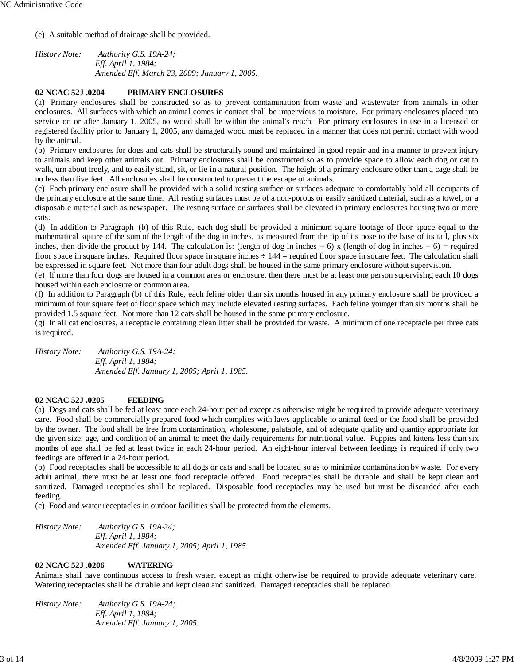(e) A suitable method of drainage shall be provided.

*History Note: Authority G.S. 19A-24; Eff. April 1, 1984; Amended Eff. March 23, 2009; January 1, 2005.*

# **02 NCAC 52J .0204 PRIMARY ENCLOSURES**

(a) Primary enclosures shall be constructed so as to prevent contamination from waste and wastewater from animals in other enclosures. All surfaces with which an animal comes in contact shall be impervious to moisture. For primary enclosures placed into service on or after January 1, 2005, no wood shall be within the animal's reach. For primary enclosures in use in a licensed or registered facility prior to January 1, 2005, any damaged wood must be replaced in a manner that does not permit contact with wood by the animal.

(b) Primary enclosures for dogs and cats shall be structurally sound and maintained in good repair and in a manner to prevent injury to animals and keep other animals out. Primary enclosures shall be constructed so as to provide space to allow each dog or cat to walk, urn about freely, and to easily stand, sit, or lie in a natural position. The height of a primary enclosure other than a cage shall be no less than five feet. All enclosures shall be constructed to prevent the escape of animals.

(c) Each primary enclosure shall be provided with a solid resting surface or surfaces adequate to comfortably hold all occupants of the primary enclosure at the same time. All resting surfaces must be of a non-porous or easily sanitized material, such as a towel, or a disposable material such as newspaper. The resting surface or surfaces shall be elevated in primary enclosures housing two or more cats.

(d) In addition to Paragraph (b) of this Rule, each dog shall be provided a minimum square footage of floor space equal to the mathematical square of the sum of the length of the dog in inches, as measured from the tip of its nose to the base of its tail, plus six inches, then divide the product by 144. The calculation is: (length of dog in inches + 6) x (length of dog in inches + 6) = required floor space in square inches. Required floor space in square inches  $\div 144$  = required floor space in square feet. The calculation shall be expressed in square feet. Not more than four adult dogs shall be housed in the same primary enclosure without supervision.

(e) If more than four dogs are housed in a common area or enclosure, then there must be at least one person supervising each 10 dogs housed within each enclosure or common area.

(f) In addition to Paragraph (b) of this Rule, each feline older than six months housed in any primary enclosure shall be provided a minimum of four square feet of floor space which may include elevated resting surfaces. Each feline younger than six months shall be provided 1.5 square feet. Not more than 12 cats shall be housed in the same primary enclosure.

(g) In all cat enclosures, a receptacle containing clean litter shall be provided for waste. A minimum of one receptacle per three cats is required.

*History Note: Authority G.S. 19A-24; Eff. April 1, 1984; Amended Eff. January 1, 2005; April 1, 1985.*

# **02 NCAC 52J .0205 FEEDING**

(a) Dogs and cats shall be fed at least once each 24-hour period except as otherwise might be required to provide adequate veterinary care. Food shall be commercially prepared food which complies with laws applicable to animal feed or the food shall be provided by the owner. The food shall be free from contamination, wholesome, palatable, and of adequate quality and quantity appropriate for the given size, age, and condition of an animal to meet the daily requirements for nutritional value. Puppies and kittens less than six months of age shall be fed at least twice in each 24-hour period. An eight-hour interval between feedings is required if only two feedings are offered in a 24-hour period.

(b) Food receptacles shall be accessible to all dogs or cats and shall be located so as to minimize contamination by waste. For every adult animal, there must be at least one food receptacle offered. Food receptacles shall be durable and shall be kept clean and sanitized. Damaged receptacles shall be replaced. Disposable food receptacles may be used but must be discarded after each feeding.

(c) Food and water receptacles in outdoor facilities shall be protected from the elements.

*History Note: Authority G.S. 19A*-*24; Eff. April 1, 1984; Amended Eff. January 1, 2005; April 1, 1985.*

# **02 NCAC 52J .0206 WATERING**

Animals shall have continuous access to fresh water, except as might otherwise be required to provide adequate veterinary care. Watering receptacles shall be durable and kept clean and sanitized. Damaged receptacles shall be replaced.

*History Note: Authority G.S. 19A-24; Eff. April 1, 1984; Amended Eff. January 1, 2005.*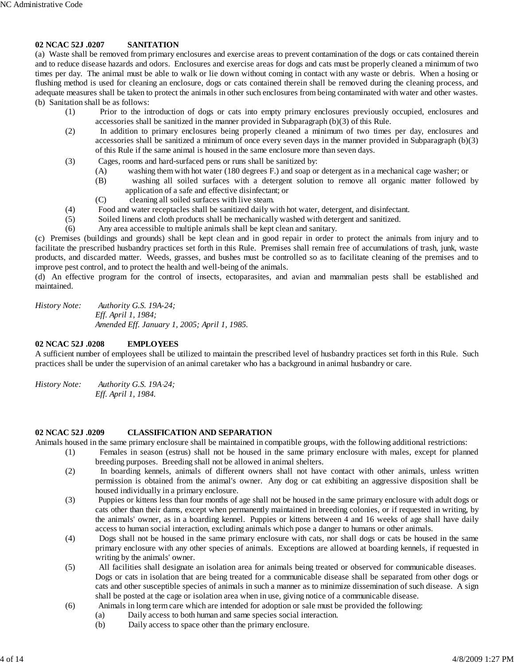## **02 NCAC 52J .0207 SANITATION**

(a) Waste shall be removed from primary enclosures and exercise areas to prevent contamination of the dogs or cats contained therein and to reduce disease hazards and odors. Enclosures and exercise areas for dogs and cats must be properly cleaned a minimum of two times per day. The animal must be able to walk or lie down without coming in contact with any waste or debris. When a hosing or flushing method is used for cleaning an enclosure, dogs or cats contained therein shall be removed during the cleaning process, and adequate measures shall be taken to protect the animals in other such enclosures from being contaminated with water and other wastes. (b) Sanitation shall be as follows:

- (1) Prior to the introduction of dogs or cats into empty primary enclosures previously occupied, enclosures and accessories shall be sanitized in the manner provided in Subparagraph (b)(3) of this Rule.
- (2) In addition to primary enclosures being properly cleaned a minimum of two times per day, enclosures and accessories shall be sanitized a minimum of once every seven days in the manner provided in Subparagraph (b)(3) of this Rule if the same animal is housed in the same enclosure more than seven days.
- (3) Cages, rooms and hard-surfaced pens or runs shall be sanitized by:
	- (A) washing them with hot water (180 degrees F.) and soap or detergent as in a mechanical cage washer; or
	- (B) washing all soiled surfaces with a detergent solution to remove all organic matter followed by application of a safe and effective disinfectant; or
	- (C) cleaning all soiled surfaces with live steam.
- (4) Food and water receptacles shall be sanitized daily with hot water, detergent, and disinfectant.
- (5) Soiled linens and cloth products shall be mechanically washed with detergent and sanitized.
- (6) Any area accessible to multiple animals shall be kept clean and sanitary.

(c) Premises (buildings and grounds) shall be kept clean and in good repair in order to protect the animals from injury and to facilitate the prescribed husbandry practices set forth in this Rule. Premises shall remain free of accumulations of trash, junk, waste products, and discarded matter. Weeds, grasses, and bushes must be controlled so as to facilitate cleaning of the premises and to improve pest control, and to protect the health and well-being of the animals.

(d) An effective program for the control of insects, ectoparasites, and avian and mammalian pests shall be established and maintained.

*History Note: Authority G.S. 19A-24; Eff. April 1, 1984; Amended Eff. January 1, 2005; April 1, 1985.*

## **02 NCAC 52J .0208 EMPLOYEES**

A sufficient number of employees shall be utilized to maintain the prescribed level of husbandry practices set forth in this Rule. Such practices shall be under the supervision of an animal caretaker who has a background in animal husbandry or care.

*History Note: Authority G.S. 19A*-*24; Eff. April 1, 1984.*

#### **02 NCAC 52J .0209 CLASSIFICATION AND SEPARATION**

Animals housed in the same primary enclosure shall be maintained in compatible groups, with the following additional restrictions:

- (1) Females in season (estrus) shall not be housed in the same primary enclosure with males, except for planned breeding purposes. Breeding shall not be allowed in animal shelters.
- (2) In boarding kennels, animals of different owners shall not have contact with other animals, unless written permission is obtained from the animal's owner. Any dog or cat exhibiting an aggressive disposition shall be housed individually in a primary enclosure.
- (3) Puppies or kittens less than four months of age shall not be housed in the same primary enclosure with adult dogs or cats other than their dams, except when permanently maintained in breeding colonies, or if requested in writing, by the animals' owner, as in a boarding kennel. Puppies or kittens between 4 and 16 weeks of age shall have daily access to human social interaction, excluding animals which pose a danger to humans or other animals.
- (4) Dogs shall not be housed in the same primary enclosure with cats, nor shall dogs or cats be housed in the same primary enclosure with any other species of animals. Exceptions are allowed at boarding kennels, if requested in writing by the animals' owner.
- (5) All facilities shall designate an isolation area for animals being treated or observed for communicable diseases. Dogs or cats in isolation that are being treated for a communicable disease shall be separated from other dogs or cats and other susceptible species of animals in such a manner as to minimize dissemination of such disease. A sign shall be posted at the cage or isolation area when in use, giving notice of a communicable disease.
- (6) Animals in long term care which are intended for adoption or sale must be provided the following:
	- (a) Daily access to both human and same species social interaction.
	- (b) Daily access to space other than the primary enclosure.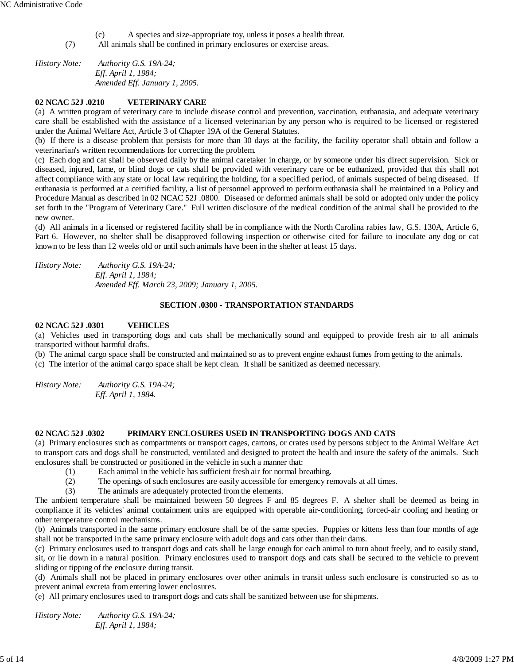(c) A species and size-appropriate toy, unless it poses a health threat.

(7) All animals shall be confined in primary enclosures or exercise areas.

*History Note: Authority G.S. 19A-24; Eff. April 1, 1984; Amended Eff. January 1, 2005.*

## **02 NCAC 52J .0210 VETERINARY CARE**

(a) A written program of veterinary care to include disease control and prevention, vaccination, euthanasia, and adequate veterinary care shall be established with the assistance of a licensed veterinarian by any person who is required to be licensed or registered under the Animal Welfare Act, Article 3 of Chapter 19A of the General Statutes.

(b) If there is a disease problem that persists for more than 30 days at the facility, the facility operator shall obtain and follow a veterinarian's written recommendations for correcting the problem.

(c) Each dog and cat shall be observed daily by the animal caretaker in charge, or by someone under his direct supervision. Sick or diseased, injured, lame, or blind dogs or cats shall be provided with veterinary care or be euthanized, provided that this shall not affect compliance with any state or local law requiring the holding, for a specified period, of animals suspected of being diseased. If euthanasia is performed at a certified facility, a list of personnel approved to perform euthanasia shall be maintained in a Policy and Procedure Manual as described in 02 NCAC 52J .0800. Diseased or deformed animals shall be sold or adopted only under the policy set forth in the "Program of Veterinary Care." Full written disclosure of the medical condition of the animal shall be provided to the new owner.

(d) All animals in a licensed or registered facility shall be in compliance with the North Carolina rabies law, G.S. 130A, Article 6, Part 6. However, no shelter shall be disapproved following inspection or otherwise cited for failure to inoculate any dog or cat known to be less than 12 weeks old or until such animals have been in the shelter at least 15 days.

*History Note: Authority G.S. 19A-24; Eff. April 1, 1984; Amended Eff. March 23, 2009; January 1, 2005.*

#### **SECTION .0300 - TRANSPORTATION STANDARDS**

#### **02 NCAC 52J .0301 VEHICLES**

(a) Vehicles used in transporting dogs and cats shall be mechanically sound and equipped to provide fresh air to all animals transported without harmful drafts.

(b) The animal cargo space shall be constructed and maintained so as to prevent engine exhaust fumes from getting to the animals.

(c) The interior of the animal cargo space shall be kept clean. It shall be sanitized as deemed necessary.

*History Note: Authority G.S. 19A*-*24; Eff. April 1, 1984.*

### **02 NCAC 52J .0302 PRIMARY ENCLOSURES USED IN TRANSPORTING DOGS AND CATS**

(a) Primary enclosures such as compartments or transport cages, cartons, or crates used by persons subject to the Animal Welfare Act to transport cats and dogs shall be constructed, ventilated and designed to protect the health and insure the safety of the animals. Such enclosures shall be constructed or positioned in the vehicle in such a manner that:

- (1) Each animal in the vehicle has sufficient fresh air for normal breathing.
- (2) The openings of such enclosures are easily accessible for emergency removals at all times.
- (3) The animals are adequately protected from the elements.

The ambient temperature shall be maintained between 50 degrees F and 85 degrees F. A shelter shall be deemed as being in compliance if its vehicles' animal containment units are equipped with operable air-conditioning, forced-air cooling and heating or other temperature control mechanisms.

(b) Animals transported in the same primary enclosure shall be of the same species. Puppies or kittens less than four months of age shall not be transported in the same primary enclosure with adult dogs and cats other than their dams.

(c) Primary enclosures used to transport dogs and cats shall be large enough for each animal to turn about freely, and to easily stand, sit, or lie down in a natural position. Primary enclosures used to transport dogs and cats shall be secured to the vehicle to prevent sliding or tipping of the enclosure during transit.

(d) Animals shall not be placed in primary enclosures over other animals in transit unless such enclosure is constructed so as to prevent animal excreta from entering lower enclosures.

(e) All primary enclosures used to transport dogs and cats shall be sanitized between use for shipments.

*History Note: Authority G.S. 19A-24; Eff. April 1, 1984;*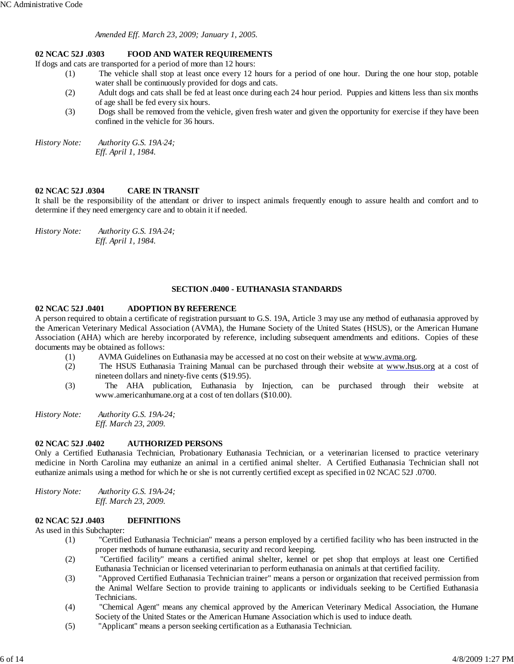*Amended Eff. March 23, 2009; January 1, 2005.*

# **02 NCAC 52J .0303 FOOD AND WATER REQUIREMENTS**

If dogs and cats are transported for a period of more than 12 hours:

- (1) The vehicle shall stop at least once every 12 hours for a period of one hour. During the one hour stop, potable water shall be continuously provided for dogs and cats.
- (2) Adult dogs and cats shall be fed at least once during each 24 hour period. Puppies and kittens less than six months of age shall be fed every six hours.
- (3) Dogs shall be removed from the vehicle, given fresh water and given the opportunity for exercise if they have been confined in the vehicle for 36 hours.

*History Note: Authority G.S. 19A*-*24; Eff. April 1, 1984.*

#### **02 NCAC 52J .0304 CARE IN TRANSIT**

It shall be the responsibility of the attendant or driver to inspect animals frequently enough to assure health and comfort and to determine if they need emergency care and to obtain it if needed.

*History Note: Authority G.S. 19A*-*24; Eff. April 1, 1984.*

#### **SECTION .0400 - EUTHANASIA STANDARDS**

### **02 NCAC 52J .0401 ADOPTION BY REFERENCE**

A person required to obtain a certificate of registration pursuant to G.S. 19A, Article 3 may use any method of euthanasia approved by the American Veterinary Medical Association (AVMA), the Humane Society of the United States (HSUS), or the American Humane Association (AHA) which are hereby incorporated by reference, including subsequent amendments and editions. Copies of these documents may be obtained as follows:

- (1) AVMA Guidelines on Euthanasia may be accessed at no cost on their website at www.avma.org.
- (2) The HSUS Euthanasia Training Manual can be purchased through their website at www.hsus.org at a cost of nineteen dollars and ninety-five cents (\$19.95).
- (3) The AHA publication, Euthanasia by Injection, can be purchased through their website at www.americanhumane.org at a cost of ten dollars (\$10.00).

*History Note: Authority G.S. 19A-24; Eff. March 23, 2009.*

#### **02 NCAC 52J .0402 AUTHORIZED PERSONS**

Only a Certified Euthanasia Technician, Probationary Euthanasia Technician, or a veterinarian licensed to practice veterinary medicine in North Carolina may euthanize an animal in a certified animal shelter. A Certified Euthanasia Technician shall not euthanize animals using a method for which he or she is not currently certified except as specified in 02 NCAC 52J .0700.

*History Note: Authority G.S. 19A-24; Eff. March 23, 2009.*

### **02 NCAC 52J .0403 DEFINITIONS**

As used in this Subchapter:

- (1) "Certified Euthanasia Technician" means a person employed by a certified facility who has been instructed in the proper methods of humane euthanasia, security and record keeping.
- (2) "Certified facility" means a certified animal shelter, kennel or pet shop that employs at least one Certified Euthanasia Technician or licensed veterinarian to perform euthanasia on animals at that certified facility.
- (3) "Approved Certified Euthanasia Technician trainer" means a person or organization that received permission from the Animal Welfare Section to provide training to applicants or individuals seeking to be Certified Euthanasia Technicians.
- (4) "Chemical Agent" means any chemical approved by the American Veterinary Medical Association, the Humane Society of the United States or the American Humane Association which is used to induce death.
- (5) "Applicant" means a person seeking certification as a Euthanasia Technician.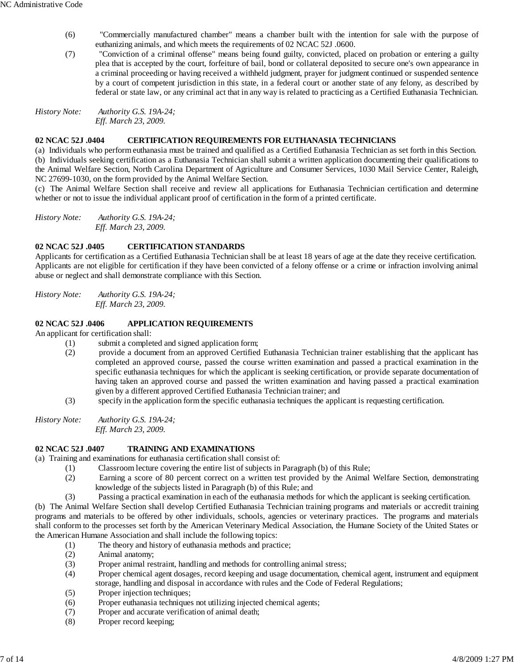- (6) "Commercially manufactured chamber" means a chamber built with the intention for sale with the purpose of euthanizing animals, and which meets the requirements of 02 NCAC 52J .0600.
- (7) "Conviction of a criminal offense" means being found guilty, convicted, placed on probation or entering a guilty plea that is accepted by the court, forfeiture of bail, bond or collateral deposited to secure one's own appearance in a criminal proceeding or having received a withheld judgment, prayer for judgment continued or suspended sentence by a court of competent jurisdiction in this state, in a federal court or another state of any felony, as described by federal or state law, or any criminal act that in any way is related to practicing as a Certified Euthanasia Technician.

*History Note: Authority G.S. 19A-24; Eff. March 23, 2009.*

# **02 NCAC 52J .0404 CERTIFICATION REQUIREMENTS FOR EUTHANASIA TECHNICIANS**

(a) Individuals who perform euthanasia must be trained and qualified as a Certified Euthanasia Technician as set forth in this Section. (b) Individuals seeking certification as a Euthanasia Technician shall submit a written application documenting their qualifications to the Animal Welfare Section, North Carolina Department of Agriculture and Consumer Services, 1030 Mail Service Center, Raleigh, NC 27699-1030, on the form provided by the Animal Welfare Section.

(c) The Animal Welfare Section shall receive and review all applications for Euthanasia Technician certification and determine whether or not to issue the individual applicant proof of certification in the form of a printed certificate.

*History Note: Authority G.S. 19A-24; Eff. March 23, 2009.*

# **02 NCAC 52J .0405 CERTIFICATION STANDARDS**

Applicants for certification as a Certified Euthanasia Technician shall be at least 18 years of age at the date they receive certification. Applicants are not eligible for certification if they have been convicted of a felony offense or a crime or infraction involving animal abuse or neglect and shall demonstrate compliance with this Section.

*History Note: Authority G.S. 19A-24; Eff. March 23, 2009.*

# **02 NCAC 52J .0406 APPLICATION REQUIREMENTS**

An applicant for certification shall:

- (1) submit a completed and signed application form;
- (2) provide a document from an approved Certified Euthanasia Technician trainer establishing that the applicant has completed an approved course, passed the course written examination and passed a practical examination in the specific euthanasia techniques for which the applicant is seeking certification, or provide separate documentation of having taken an approved course and passed the written examination and having passed a practical examination given by a different approved Certified Euthanasia Technician trainer; and
- (3) specify in the application form the specific euthanasia techniques the applicant is requesting certification.

*History Note: Authority G.S. 19A-24; Eff. March 23, 2009.*

# **02 NCAC 52J .0407 TRAINING AND EXAMINATIONS**

(a) Training and examinations for euthanasia certification shall consist of:

- (1) Classroom lecture covering the entire list of subjects in Paragraph (b) of this Rule;
- (2) Earning a score of 80 percent correct on a written test provided by the Animal Welfare Section, demonstrating knowledge of the subjects listed in Paragraph (b) of this Rule; and
- (3) Passing a practical examination in each of the euthanasia methods for which the applicant is seeking certification.

(b) The Animal Welfare Section shall develop Certified Euthanasia Technician training programs and materials or accredit training programs and materials to be offered by other individuals, schools, agencies or veterinary practices. The programs and materials shall conform to the processes set forth by the American Veterinary Medical Association, the Humane Society of the United States or the American Humane Association and shall include the following topics:

- (1) The theory and history of euthanasia methods and practice;
- (2) Animal anatomy;
- (3) Proper animal restraint, handling and methods for controlling animal stress;
- (4) Proper chemical agent dosages, record keeping and usage documentation, chemical agent, instrument and equipment storage, handling and disposal in accordance with rules and the Code of Federal Regulations;
- (5) Proper injection techniques;
- (6) Proper euthanasia techniques not utilizing injected chemical agents;
- (7) Proper and accurate verification of animal death;
- (8) Proper record keeping;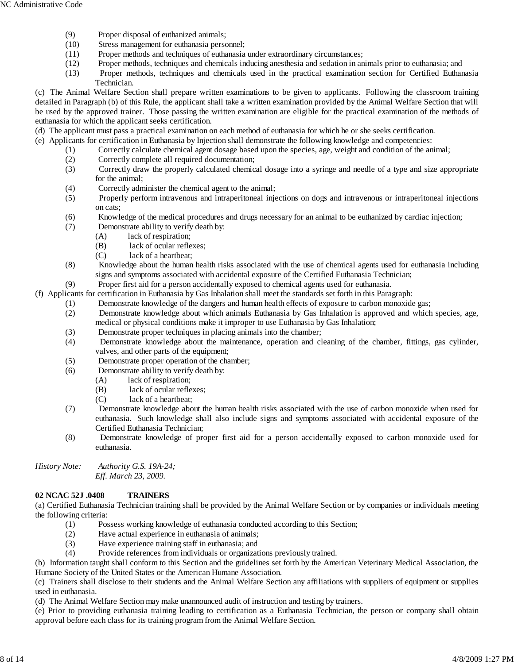- (9) Proper disposal of euthanized animals;
- (10) Stress management for euthanasia personnel;
- (11) Proper methods and techniques of euthanasia under extraordinary circumstances;
- (12) Proper methods, techniques and chemicals inducing anesthesia and sedation in animals prior to euthanasia; and
- (13) Proper methods, techniques and chemicals used in the practical examination section for Certified Euthanasia Technician.

(c) The Animal Welfare Section shall prepare written examinations to be given to applicants. Following the classroom training detailed in Paragraph (b) of this Rule, the applicant shall take a written examination provided by the Animal Welfare Section that will be used by the approved trainer. Those passing the written examination are eligible for the practical examination of the methods of euthanasia for which the applicant seeks certification.

- (d) The applicant must pass a practical examination on each method of euthanasia for which he or she seeks certification.
- (e) Applicants for certification in Euthanasia by Injection shall demonstrate the following knowledge and competencies:
	- (1) Correctly calculate chemical agent dosage based upon the species, age, weight and condition of the animal;
	- (2) Correctly complete all required documentation;
	- (3) Correctly draw the properly calculated chemical dosage into a syringe and needle of a type and size appropriate for the animal;
	- (4) Correctly administer the chemical agent to the animal;
	- (5) Properly perform intravenous and intraperitoneal injections on dogs and intravenous or intraperitoneal injections on cats;
	- (6) Knowledge of the medical procedures and drugs necessary for an animal to be euthanized by cardiac injection;
	- (7) Demonstrate ability to verify death by:
		- (A) lack of respiration;
		- (B) lack of ocular reflexes;
		- (C) lack of a heartbeat;
	- (8) Knowledge about the human health risks associated with the use of chemical agents used for euthanasia including signs and symptoms associated with accidental exposure of the Certified Euthanasia Technician;
	- (9) Proper first aid for a person accidentally exposed to chemical agents used for euthanasia.

(f) Applicants for certification in Euthanasia by Gas Inhalation shall meet the standards set forth in this Paragraph:

- (1) Demonstrate knowledge of the dangers and human health effects of exposure to carbon monoxide gas;
- (2) Demonstrate knowledge about which animals Euthanasia by Gas Inhalation is approved and which species, age, medical or physical conditions make it improper to use Euthanasia by Gas Inhalation;
- (3) Demonstrate proper techniques in placing animals into the chamber;
- (4) Demonstrate knowledge about the maintenance, operation and cleaning of the chamber, fittings, gas cylinder, valves, and other parts of the equipment;
- (5) Demonstrate proper operation of the chamber;
- (6) Demonstrate ability to verify death by:
	- (A) lack of respiration;
		- (B) lack of ocular reflexes;
		- (C) lack of a heartbeat;
- (7) Demonstrate knowledge about the human health risks associated with the use of carbon monoxide when used for euthanasia. Such knowledge shall also include signs and symptoms associated with accidental exposure of the Certified Euthanasia Technician;
- (8) Demonstrate knowledge of proper first aid for a person accidentally exposed to carbon monoxide used for euthanasia.

*History Note: Authority G.S. 19A-24; Eff. March 23, 2009.*

# **02 NCAC 52J .0408 TRAINERS**

(a) Certified Euthanasia Technician training shall be provided by the Animal Welfare Section or by companies or individuals meeting the following criteria:

- (1) Possess working knowledge of euthanasia conducted according to this Section;
- (2) Have actual experience in euthanasia of animals;
- (3) Have experience training staff in euthanasia; and
- (4) Provide references from individuals or organizations previously trained.

(b) Information taught shall conform to this Section and the guidelines set forth by the American Veterinary Medical Association, the Humane Society of the United States or the American Humane Association.

(c) Trainers shall disclose to their students and the Animal Welfare Section any affiliations with suppliers of equipment or supplies used in euthanasia.

(d) The Animal Welfare Section may make unannounced audit of instruction and testing by trainers.

(e) Prior to providing euthanasia training leading to certification as a Euthanasia Technician, the person or company shall obtain approval before each class for its training program from the Animal Welfare Section.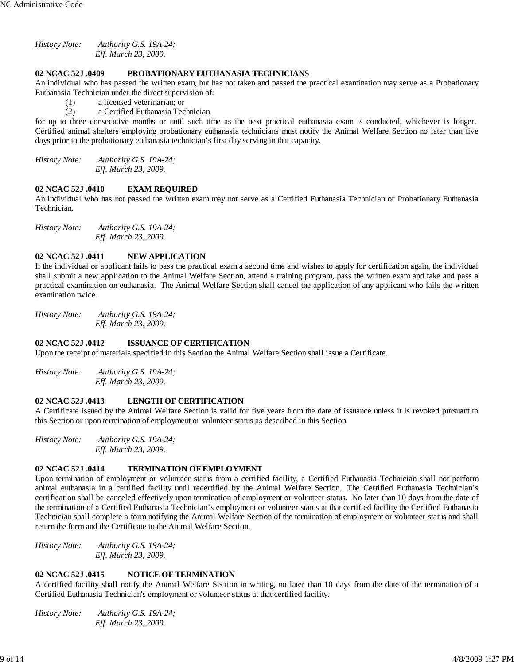*History Note: Authority G.S. 19A-24; Eff. March 23, 2009.*

# **02 NCAC 52J .0409 PROBATIONARY EUTHANASIA TECHNICIANS**

An individual who has passed the written exam, but has not taken and passed the practical examination may serve as a Probationary Euthanasia Technician under the direct supervision of:

- (1) a licensed veterinarian; or
- (2) a Certified Euthanasia Technician

for up to three consecutive months or until such time as the next practical euthanasia exam is conducted, whichever is longer. Certified animal shelters employing probationary euthanasia technicians must notify the Animal Welfare Section no later than five days prior to the probationary euthanasia technician's first day serving in that capacity.

*History Note: Authority G.S. 19A-24; Eff. March 23, 2009.*

# **02 NCAC 52J .0410 EXAM REQUIRED**

An individual who has not passed the written exam may not serve as a Certified Euthanasia Technician or Probationary Euthanasia Technician.

*History Note: Authority G.S. 19A-24; Eff. March 23, 2009.*

## **02 NCAC 52J .0411 NEW APPLICATION**

If the individual or applicant fails to pass the practical exam a second time and wishes to apply for certification again, the individual shall submit a new application to the Animal Welfare Section, attend a training program, pass the written exam and take and pass a practical examination on euthanasia. The Animal Welfare Section shall cancel the application of any applicant who fails the written examination twice.

*History Note: Authority G.S. 19A-24; Eff. March 23, 2009.*

# **02 NCAC 52J .0412 ISSUANCE OF CERTIFICATION**

Upon the receipt of materials specified in this Section the Animal Welfare Section shall issue a Certificate.

*History Note: Authority G.S. 19A-24; Eff. March 23, 2009.*

## **02 NCAC 52J .0413 LENGTH OF CERTIFICATION**

A Certificate issued by the Animal Welfare Section is valid for five years from the date of issuance unless it is revoked pursuant to this Section or upon termination of employment or volunteer status as described in this Section.

*History Note: Authority G.S. 19A-24; Eff. March 23, 2009.*

# **02 NCAC 52J .0414 TERMINATION OF EMPLOYMENT**

Upon termination of employment or volunteer status from a certified facility, a Certified Euthanasia Technician shall not perform animal euthanasia in a certified facility until recertified by the Animal Welfare Section. The Certified Euthanasia Technician's certification shall be canceled effectively upon termination of employment or volunteer status. No later than 10 days from the date of the termination of a Certified Euthanasia Technician's employment or volunteer status at that certified facility the Certified Euthanasia Technician shall complete a form notifying the Animal Welfare Section of the termination of employment or volunteer status and shall return the form and the Certificate to the Animal Welfare Section.

*History Note: Authority G.S. 19A-24; Eff. March 23, 2009.*

# **02 NCAC 52J .0415 NOTICE OF TERMINATION**

A certified facility shall notify the Animal Welfare Section in writing, no later than 10 days from the date of the termination of a Certified Euthanasia Technician's employment or volunteer status at that certified facility.

*History Note: Authority G.S. 19A-24; Eff. March 23, 2009.*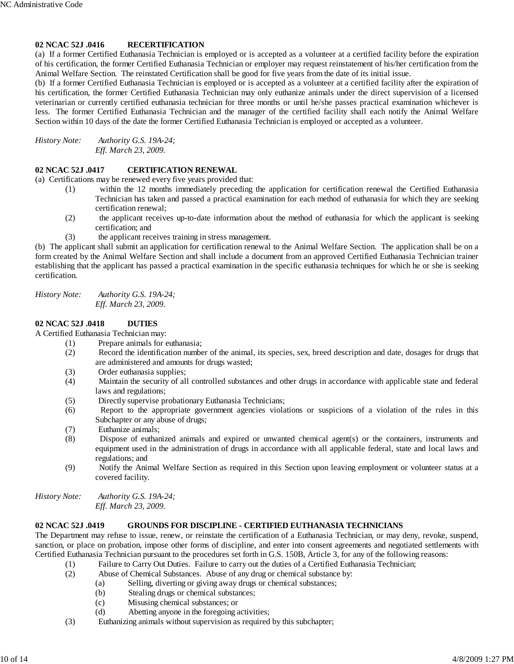## **02 NCAC 52J .0416 RECERTIFICATION**

(a) If a former Certified Euthanasia Technician is employed or is accepted as a volunteer at a certified facility before the expiration of his certification, the former Certified Euthanasia Technician or employer may request reinstatement of his/her certification from the Animal Welfare Section. The reinstated Certification shall be good for five years from the date of its initial issue.

(b) If a former Certified Euthanasia Technician is employed or is accepted as a volunteer at a certified facility after the expiration of his certification, the former Certified Euthanasia Technician may only euthanize animals under the direct supervision of a licensed veterinarian or currently certified euthanasia technician for three months or until he/she passes practical examination whichever is less. The former Certified Euthanasia Technician and the manager of the certified facility shall each notify the Animal Welfare Section within 10 days of the date the former Certified Euthanasia Technician is employed or accepted as a volunteer.

*History Note: Authority G.S. 19A-24; Eff. March 23, 2009.*

## **02 NCAC 52J .0417 CERTIFICATION RENEWAL**

(a) Certifications may be renewed every five years provided that:

- (1) within the 12 months immediately preceding the application for certification renewal the Certified Euthanasia Technician has taken and passed a practical examination for each method of euthanasia for which they are seeking certification renewal;
- (2) the applicant receives up-to-date information about the method of euthanasia for which the applicant is seeking certification; and
- (3) the applicant receives training in stress management.

(b) The applicant shall submit an application for certification renewal to the Animal Welfare Section. The application shall be on a form created by the Animal Welfare Section and shall include a document from an approved Certified Euthanasia Technician trainer establishing that the applicant has passed a practical examination in the specific euthanasia techniques for which he or she is seeking certification.

*History Note: Authority G.S. 19A-24; Eff. March 23, 2009.*

#### **02 NCAC 52J .0418 DUTIES**

A Certified Euthanasia Technician may:

- (1) Prepare animals for euthanasia;
	- (2) Record the identification number of the animal, its species, sex, breed description and date, dosages for drugs that are administered and amounts for drugs wasted;
	- (3) Order euthanasia supplies;
	- (4) Maintain the security of all controlled substances and other drugs in accordance with applicable state and federal laws and regulations;
	- (5) Directly supervise probationary Euthanasia Technicians;
	- (6) Report to the appropriate government agencies violations or suspicions of a violation of the rules in this Subchapter or any abuse of drugs;
	- (7) Euthanize animals;
	- (8) Dispose of euthanized animals and expired or unwanted chemical agent(s) or the containers, instruments and equipment used in the administration of drugs in accordance with all applicable federal, state and local laws and regulations; and
	- (9) Notify the Animal Welfare Section as required in this Section upon leaving employment or volunteer status at a covered facility.

*History Note: Authority G.S. 19A-24; Eff. March 23, 2009.*

# **02 NCAC 52J .0419 GROUNDS FOR DISCIPLINE - CERTIFIED EUTHANASIA TECHNICIANS**

The Department may refuse to issue, renew, or reinstate the certification of a Euthanasia Technician, or may deny, revoke, suspend, sanction, or place on probation, impose other forms of discipline, and enter into consent agreements and negotiated settlements with Certified Euthanasia Technician pursuant to the procedures set forth in G.S. 150B, Article 3, for any of the following reasons:

- (1) Failure to Carry Out Duties. Failure to carry out the duties of a Certified Euthanasia Technician;
- (2) Abuse of Chemical Substances. Abuse of any drug or chemical substance by:
	- (a) Selling, diverting or giving away drugs or chemical substances;
	- (b) Stealing drugs or chemical substances;
	- (c) Misusing chemical substances; or
	- (d) Abetting anyone in the foregoing activities;
- (3) Euthanizing animals without supervision as required by this subchapter;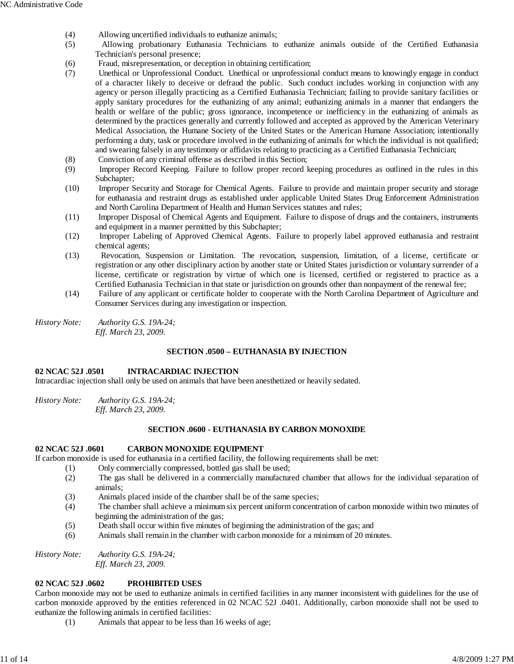- (4) Allowing uncertified individuals to euthanize animals;
- (5) Allowing probationary Euthanasia Technicians to euthanize animals outside of the Certified Euthanasia Technician's personal presence;
- (6) Fraud, misrepresentation, or deception in obtaining certification;
- (7) Unethical or Unprofessional Conduct. Unethical or unprofessional conduct means to knowingly engage in conduct of a character likely to deceive or defraud the public. Such conduct includes working in conjunction with any agency or person illegally practicing as a Certified Euthanasia Technician; failing to provide sanitary facilities or apply sanitary procedures for the euthanizing of any animal; euthanizing animals in a manner that endangers the health or welfare of the public; gross ignorance, incompetence or inefficiency in the euthanizing of animals as determined by the practices generally and currently followed and accepted as approved by the American Veterinary Medical Association, the Humane Society of the United States or the American Humane Association; intentionally performing a duty, task or procedure involved in the euthanizing of animals for which the individual is not qualified; and swearing falsely in any testimony or affidavits relating to practicing as a Certified Euthanasia Technician;
- (8) Conviction of any criminal offense as described in this Section;
- (9) Improper Record Keeping. Failure to follow proper record keeping procedures as outlined in the rules in this Subchapter;
- (10) Improper Security and Storage for Chemical Agents. Failure to provide and maintain proper security and storage for euthanasia and restraint drugs as established under applicable United States Drug Enforcement Administration and North Carolina Department of Health and Human Services statutes and rules;
- (11) Improper Disposal of Chemical Agents and Equipment. Failure to dispose of drugs and the containers, instruments and equipment in a manner permitted by this Subchapter;
- (12) Improper Labeling of Approved Chemical Agents. Failure to properly label approved euthanasia and restraint chemical agents;
- (13) Revocation, Suspension or Limitation. The revocation, suspension, limitation, of a license, certificate or registration or any other disciplinary action by another state or United States jurisdiction or voluntary surrender of a license, certificate or registration by virtue of which one is licensed, certified or registered to practice as a Certified Euthanasia Technician in that state or jurisdiction on grounds other than nonpayment of the renewal fee;
- (14) Failure of any applicant or certificate holder to cooperate with the North Carolina Department of Agriculture and Consumer Services during any investigation or inspection.

*History Note: Authority G.S. 19A-24; Eff. March 23, 2009.*

## **SECTION .0500 – EUTHANASIA BY INJECTION**

## **02 NCAC 52J .0501 INTRACARDIAC INJECTION**

Intracardiac injection shall only be used on animals that have been anesthetized or heavily sedated.

*History Note: Authority G.S. 19A-24; Eff. March 23, 2009.*

#### **SECTION .0600 - EUTHANASIA BY CARBON MONOXIDE**

#### **02 NCAC 52J .0601 CARBON MONOXIDE EQUIPMENT**

If carbon monoxide is used for euthanasia in a certified facility, the following requirements shall be met:

- (1) Only commercially compressed, bottled gas shall be used;
- (2) The gas shall be delivered in a commercially manufactured chamber that allows for the individual separation of animals;
- (3) Animals placed inside of the chamber shall be of the same species;
- (4) The chamber shall achieve a minimum six percent uniform concentration of carbon monoxide within two minutes of beginning the administration of the gas;
- (5) Death shall occur within five minutes of beginning the administration of the gas; and
- (6) Animals shall remain in the chamber with carbon monoxide for a minimum of 20 minutes.

*History Note: Authority G.S. 19A-24; Eff. March 23, 2009.*

## **02 NCAC 52J .0602 PROHIBITED USES**

Carbon monoxide may not be used to euthanize animals in certified facilities in any manner inconsistent with guidelines for the use of carbon monoxide approved by the entities referenced in 02 NCAC 52J .0401. Additionally, carbon monoxide shall not be used to euthanize the following animals in certified facilities:

(1) Animals that appear to be less than 16 weeks of age;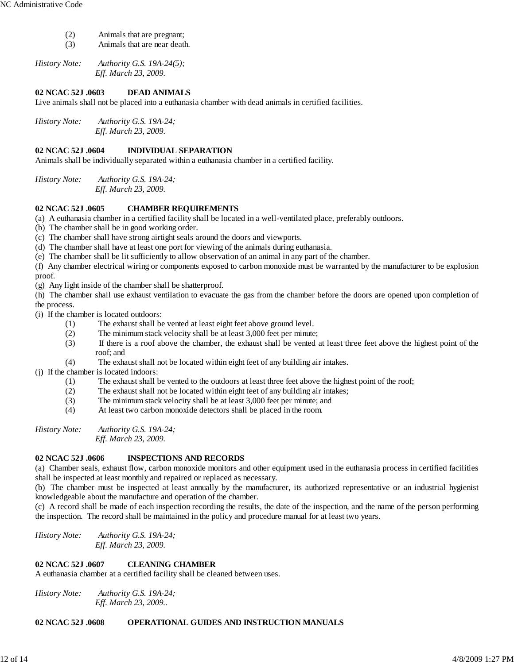- (2) Animals that are pregnant;
- (3) Animals that are near death.

*History Note: Authority G.S. 19A-24(5); Eff. March 23, 2009.*

## **02 NCAC 52J .0603 DEAD ANIMALS**

Live animals shall not be placed into a euthanasia chamber with dead animals in certified facilities.

*History Note: Authority G.S. 19A-24; Eff. March 23, 2009.*

# **02 NCAC 52J .0604 INDIVIDUAL SEPARATION**

Animals shall be individually separated within a euthanasia chamber in a certified facility.

*History Note: Authority G.S. 19A-24; Eff. March 23, 2009.*

## **02 NCAC 52J .0605 CHAMBER REQUIREMENTS**

(a) A euthanasia chamber in a certified facility shall be located in a well-ventilated place, preferably outdoors.

(b) The chamber shall be in good working order.

(c) The chamber shall have strong airtight seals around the doors and viewports.

(d) The chamber shall have at least one port for viewing of the animals during euthanasia.

(e) The chamber shall be lit sufficiently to allow observation of an animal in any part of the chamber.

(f) Any chamber electrical wiring or components exposed to carbon monoxide must be warranted by the manufacturer to be explosion proof.

(g) Any light inside of the chamber shall be shatterproof.

(h) The chamber shall use exhaust ventilation to evacuate the gas from the chamber before the doors are opened upon completion of the process.

(i) If the chamber is located outdoors:

- (1) The exhaust shall be vented at least eight feet above ground level.
- (2) The minimum stack velocity shall be at least 3,000 feet per minute;
- (3) If there is a roof above the chamber, the exhaust shall be vented at least three feet above the highest point of the roof; and
- (4) The exhaust shall not be located within eight feet of any building air intakes.

(j) If the chamber is located indoors:

- (1) The exhaust shall be vented to the outdoors at least three feet above the highest point of the roof;
- (2) The exhaust shall not be located within eight feet of any building air intakes;
- (3) The minimum stack velocity shall be at least 3,000 feet per minute; and
- (4) At least two carbon monoxide detectors shall be placed in the room.

*History Note: Authority G.S. 19A-24; Eff. March 23, 2009.*

## **02 NCAC 52J .0606 INSPECTIONS AND RECORDS**

(a) Chamber seals, exhaust flow, carbon monoxide monitors and other equipment used in the euthanasia process in certified facilities shall be inspected at least monthly and repaired or replaced as necessary.

(b) The chamber must be inspected at least annually by the manufacturer, its authorized representative or an industrial hygienist knowledgeable about the manufacture and operation of the chamber.

(c) A record shall be made of each inspection recording the results, the date of the inspection, and the name of the person performing the inspection. The record shall be maintained in the policy and procedure manual for at least two years.

*History Note: Authority G.S. 19A-24; Eff. March 23, 2009.*

## **02 NCAC 52J .0607 CLEANING CHAMBER**

A euthanasia chamber at a certified facility shall be cleaned between uses.

*History Note: Authority G.S. 19A-24; Eff. March 23, 2009..*

## **02 NCAC 52J .0608 OPERATIONAL GUIDES AND INSTRUCTION MANUALS**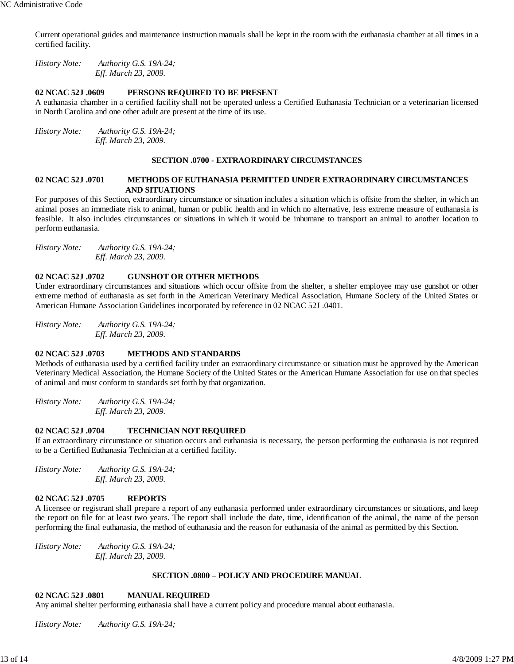Current operational guides and maintenance instruction manuals shall be kept in the room with the euthanasia chamber at all times in a certified facility.

*History Note: Authority G.S. 19A-24; Eff. March 23, 2009.*

#### **02 NCAC 52J .0609 PERSONS REQUIRED TO BE PRESENT**

A euthanasia chamber in a certified facility shall not be operated unless a Certified Euthanasia Technician or a veterinarian licensed in North Carolina and one other adult are present at the time of its use.

*History Note: Authority G.S. 19A-24; Eff. March 23, 2009.*

#### **SECTION .0700 - EXTRAORDINARY CIRCUMSTANCES**

### **02 NCAC 52J .0701 METHODS OF EUTHANASIA PERMITTED UNDER EXTRAORDINARY CIRCUMSTANCES AND SITUATIONS**

For purposes of this Section, extraordinary circumstance or situation includes a situation which is offsite from the shelter, in which an animal poses an immediate risk to animal, human or public health and in which no alternative, less extreme measure of euthanasia is feasible. It also includes circumstances or situations in which it would be inhumane to transport an animal to another location to perform euthanasia.

*History Note: Authority G.S. 19A-24; Eff. March 23, 2009.*

#### **02 NCAC 52J .0702 GUNSHOT OR OTHER METHODS**

Under extraordinary circumstances and situations which occur offsite from the shelter, a shelter employee may use gunshot or other extreme method of euthanasia as set forth in the American Veterinary Medical Association, Humane Society of the United States or American Humane Association Guidelines incorporated by reference in 02 NCAC 52J .0401.

*History Note: Authority G.S. 19A-24; Eff. March 23, 2009.*

#### **02 NCAC 52J .0703 METHODS AND STANDARDS**

Methods of euthanasia used by a certified facility under an extraordinary circumstance or situation must be approved by the American Veterinary Medical Association, the Humane Society of the United States or the American Humane Association for use on that species of animal and must conform to standards set forth by that organization.

*History Note: Authority G.S. 19A-24; Eff. March 23, 2009.*

#### **02 NCAC 52J .0704 TECHNICIAN NOT REQUIRED**

If an extraordinary circumstance or situation occurs and euthanasia is necessary, the person performing the euthanasia is not required to be a Certified Euthanasia Technician at a certified facility.

*History Note: Authority G.S. 19A-24; Eff. March 23, 2009.*

## **02 NCAC 52J .0705 REPORTS**

A licensee or registrant shall prepare a report of any euthanasia performed under extraordinary circumstances or situations, and keep the report on file for at least two years. The report shall include the date, time, identification of the animal, the name of the person performing the final euthanasia, the method of euthanasia and the reason for euthanasia of the animal as permitted by this Section.

*History Note: Authority G.S. 19A-24; Eff. March 23, 2009.*

#### **SECTION .0800 – POLICY AND PROCEDURE MANUAL**

#### **02 NCAC 52J .0801 MANUAL REQUIRED**

Any animal shelter performing euthanasia shall have a current policy and procedure manual about euthanasia.

*History Note: Authority G.S. 19A-24;*